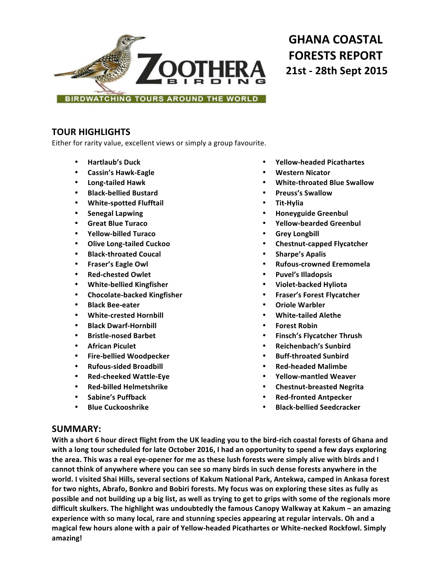

**GHANA COASTAL% FORESTS REPORT %%%21st 3 28th Sept 2015**

**TOUR%HIGHLIGHTS**

Either for rarity value, excellent views or simply a group favourite.

- **Hartlaub's Duck**
- **Cassin's Hawk-Eagle**
- **Long-tailed Hawk**
- **Black-bellied Bustard**
- **White-spotted Flufftail**
- **Senegal Lapwing**
- **Great Blue Turaco**
- **Yellow3billed%Turaco**
- **Olive Long-tailed Cuckoo**
- **Black-throated Coucal**
- **Fraser's Eagle Owl**
- **Red-chested Owlet**
- **White-bellied Kingfisher**
- **Chocolate-backed Kingfisher**
- **Black Bee-eater**
- **White-crested Hornbill**
- **Black Dwarf-Hornbill**
- **Bristle-nosed Barbet**
- **African Piculet**
- **Fire-bellied Woodpecker**
- **Rufous-sided Broadbill**
- **Red-cheeked Wattle-Eye**
- **Red-billed Helmetshrike**
- Sabine's Puffback
- **Blue Cuckooshrike**
- **Yellow-headed Picathartes**
- **Western Nicator**
- **White-throated Blue Swallow**
- **Preuss's Swallow**
- **Tit-Hylia**
- **Honeyguide%Greenbul**
- Yellow-bearded Greenbul
- **Grey Longbill**
- **Chestnut-capped Flycatcher**
- **Sharpe's Apalis**
- **Rufous-crowned Eremomela**
- **Puvel's Illadopsis**
- **Violet-backed Hyliota**
- **Fraser's Forest Flycatcher**
- **Oriole%Warbler**
- **White-tailed Alethe**
- **Forest Robin**
- **Finsch's Flycatcher%Thrush**
- **Reichenbach's%Sunbird**
- **Buff-throated Sunbird**
- **Red-headed Malimbe**
- Yellow-mantled Weaver
- **Chestnut-breasted Negrita**
- **Red-fronted Antpecker**
- **Black-bellied Seedcracker**

# **SUMMARY:**

With a short 6 hour direct flight from the UK leading you to the bird-rich coastal forests of Ghana and with a long tour scheduled for late October 2016, I had an opportunity to spend a few days exploring the area. This was a real eye-opener for me as these lush forests were simply alive with birds and I cannot think of anywhere where you can see so many birds in such dense forests anywhere in the world. I visited Shai Hills, several sections of Kakum National Park, Antekwa, camped in Ankasa forest **for%two%nights,%Abrafo,%Bonkro%and%Bobiri%forests.%My%focus%was%on%exploring%these%sites as%fully as%** possible and not building up a big list, as well as trying to get to grips with some of the regionals more **difficult skulkers. The highlight was undoubtedly the famous Canopy Walkway at Kakum – an amazing** experience with so many local, rare and stunning species appearing at regular intervals. Oh and a magical few hours alone with a pair of Yellow-headed Picathartes or White-necked Rockfowl. Simply **amazing!**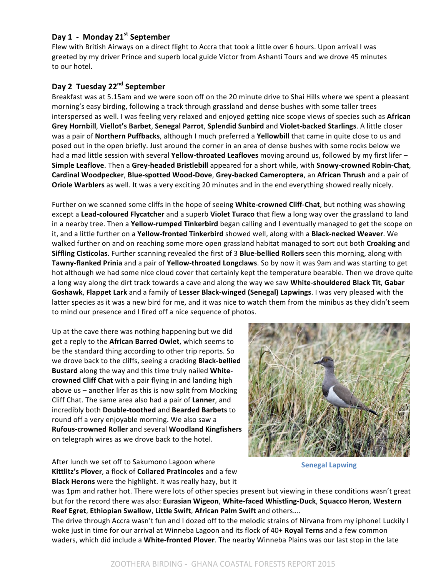# **Day 1 - Monday 21st September**

Flew with British Airways on a direct flight to Accra that took a little over 6 hours. Upon arrival I was greeted by my driver Prince and superb local guide Victor from Ashanti Tours and we drove 45 minutes to our hotel.

# **Day%2%%Tuesday%22nd September**

Breakfast was at 5.15am and we were soon off on the 20 minute drive to Shai Hills where we spent a pleasant morning's easy birding, following a track through grassland and dense bushes with some taller trees interspersed as well. I was feeling very relaxed and enjoyed getting nice scope views of species such as African **Grey%Hornbill**,'**Viellot's%Barbet**,'**Senegal%Parrot**,'**Splendid%Sunbird** and'**Violet3backed%Starlings**.'A'little'closer' was a pair of **Northern Puffbacks**, although I much preferred a Yellowbill that came in quite close to us and posed out in the open briefly. Just around the corner in an area of dense bushes with some rocks below we had a mad little session with several Yellow-throated Leafloves moving around us, followed by my first lifer -**Simple Leaflove**. Then a Grey-headed Bristlebill appeared for a short while, with **Snowy-crowned Robin-Chat**, **Cardinal Woodpecker, Blue-spotted Wood-Dove, Grey-backed Cameroptera, an African Thrush and a pair of Oriole Warblers** as well. It was a very exciting 20 minutes and in the end everything showed really nicely.

Further on we scanned some cliffs in the hope of seeing White-crowned Cliff-Chat, but nothing was showing except a Lead-coloured Flycatcher and a superb Violet Turaco that flew a long way over the grassland to land in a nearby tree. Then a Yellow-rumped Tinkerbird began calling and I eventually managed to get the scope on it, and a little further on a Yellow-fronted Tinkerbird showed well, along with a Black-necked Weaver. We walked further on and on reaching some more open grassland habitat managed to sort out both **Croaking** and **Siffling Cisticolas**. Further scanning revealed the first of 3 **Blue-bellied Rollers** seen this morning, along with Tawny-flanked Prinia and a pair of Yellow-throated Longclaws. So by now it was 9am and was starting to get hot although we had some nice cloud cover that certainly kept the temperature bearable. Then we drove quite a long way along the dirt track towards a cave and along the way we saw White-shouldered Black Tit, Gabar Goshawk, Flappet Lark and a family of Lesser Black-winged (Senegal) Lapwings. I was very pleased with the latter species as it was a new bird for me, and it was nice to watch them from the minibus as they didn't seem to mind our presence and I fired off a nice sequence of photos.

Up at the cave there was nothing happening but we did get a reply to the African Barred Owlet, which seems to be the standard thing according to other trip reports. So we drove back to the cliffs, seeing a cracking **Black-bellied Bustard** along the way and this time truly nailed Whitecrowned Cliff Chat with a pair flying in and landing high above us – another lifer as this is now split from Mocking Cliff Chat. The same area also had a pair of Lanner, and incredibly'both'**Double3toothed** and'**Bearded%Barbets** to' round off a very enjoyable morning. We also saw a **Rufous3crowned%Roller** and'several'**Woodland%Kingfishers** on telegraph wires as we drove back to the hotel.

After lunch we set off to Sakumono Lagoon where Kittlitz's Plover, a flock of **Collared Pratincoles** and a few **Black Herons** were the highlight. It was really hazy, but it



**Senegal Lapwing** 

was 1pm and rather hot. There were lots of other species present but viewing in these conditions wasn't great but for the record there was also: Eurasian Wigeon, White-faced Whistling-Duck, Squacco Heron, Western **Reef Egret, Ethiopian Swallow, Little Swift, African Palm Swift** and others....

The drive through Accra wasn't fun and I dozed off to the melodic strains of Nirvana from my iphone! Luckily I woke just in time for our arrival at Winneba Lagoon and its flock of 40+ **Royal Terns** and a few common' waders, which did include a White-fronted Plover. The nearby Winneba Plains was our last stop in the late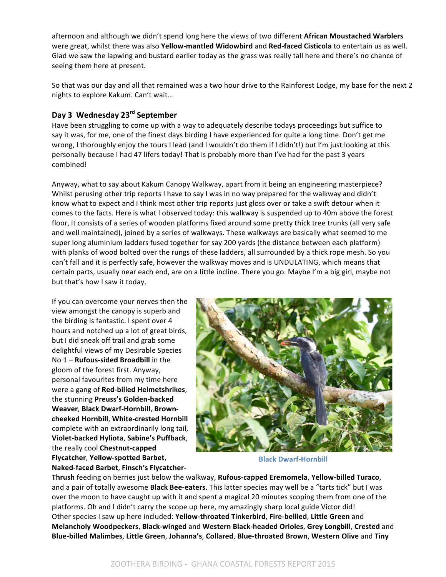afternoon and although we didn't spend long here the views of two different African Moustached Warblers were great, whilst there was also **Yellow-mantled Widowbird** and **Red-faced Cisticola** to entertain us as well. Glad we saw the lapwing and bustard earlier today as the grass was really tall here and there's no chance of seeing them here at present.

So that was our day and all that remained was a two hour drive to the Rainforest Lodge, my base for the next 2 nights to explore Kakum. Can't wait...

# **Day%3%%Wednesday%23rd September %%**

Have been struggling to come up with a way to adequately describe todays proceedings but suffice to say it was, for me, one of the finest days birding I have experienced for quite a long time. Don't get me wrong, I thoroughly enjoy the tours I lead (and I wouldn't do them if I didn't!) but I'm just looking at this personally because I had 47 lifers today! That is probably more than I've had for the past 3 years combined!

Anyway, what to say about Kakum Canopy Walkway, apart from it being an engineering masterpiece? Whilst perusing other trip reports I have to say I was in no way prepared for the walkway and didn't know what to expect and I think most other trip reports just gloss over or take a swift detour when it comes to the facts. Here is what I observed today: this walkway is suspended up to 40m above the forest floor, it consists of a series of wooden platforms fixed around some pretty thick tree trunks (all very safe' and well maintained), joined by a series of walkways. These walkways are basically what seemed to me super long aluminium ladders fused together for say 200 yards (the distance between each platform) with planks of wood bolted over the rungs of these ladders, all surrounded by a thick rope mesh. So you can't fall and it is perfectly safe, however the walkway moves and is UNDULATING, which means that certain parts, usually near each end, are on a little incline. There you go. Maybe I'm a big girl, maybe not but that's how I saw it today.

If you can overcome your nerves then the view amongst the canopy is superb and the birding is fantastic. I spent over 4 hours and notched up a lot of great birds, but I did sneak off trail and grab some delightful views of my Desirable Species No 1 - Rufous-sided Broadbill in the gloom of the forest first. Anyway, personal favourites from my time here were a gang of Red-billed Helmetshrikes, the stunning Preuss's Golden-backed Weaver, Black Dwarf-Hornbill, Brown**cheeked%Hornbill**,'**White3crested%Hornbill** complete with an extraordinarily long tail, **Violet3backed%Hyliota**,'**Sabine's%Puffback**,' the really cool **Chestnut-capped Flycatcher, Yellow-spotted Barbet,** Naked-faced Barbet, Finsch's Flycatcher-



**Black Dwarf-Hornbill** 

Thrush feeding on berries just below the walkway, Rufous-capped Eremomela, Yellow-billed Turaco, and a pair of totally awesome **Black Bee-eaters**. This latter species may well be a "tarts tick" but I was over the moon to have caught up with it and spent a magical 20 minutes scoping them from one of the platforms. Oh and I didn't carry the scope up here, my amazingly sharp local guide Victor did! Other species I saw up here included: Yellow-throated Tinkerbird, Fire-bellied, Little Green and **Melancholy%Woodpeckers**,'**Black3winged** and'**Western%Black3headed%Orioles**,'**Grey%Longbill**,'**Crested** and' **Blue3billed%Malimbes**,'**Little%Green**,'**Johanna's**,'**Collared**,'**Blue3throated%Brown**,'**Western%Olive** and'**Tiny%**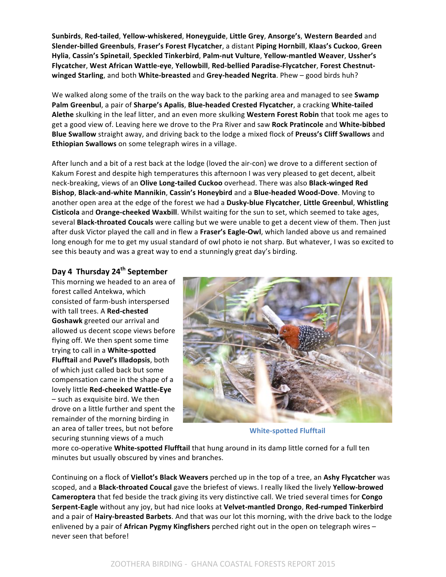**Sunbirds**,'**Red3tailed**,'**Yellow3whiskered**,'**Honeyguide**,'**Little%Grey**,'**Ansorge's**,'**Western%Bearded** and' **Slender3billed%Greenbuls**,'**Fraser's%Forest%Flycatcher**,'a'distant'**Piping%Hornbill**,'**Klaas's%Cuckoo**,'**Green% Hylia**,'**Cassin's%Spinetail**,'**Speckled%Tinkerbird**,'**Palm3nut%Vulture**,'**Yellow3mantled%Weaver**,'**Ussher's% Flycatcher**,'**West%African%Wattle3eye**,'**Yellowbill**,'**Red3bellied%Paradise3Flycatcher**,'**Forest%Chestnut3** winged Starling, and both White-breasted and Grey-headed Negrita. Phew – good birds huh?

We walked along some of the trails on the way back to the parking area and managed to see **Swamp** Palm Greenbul, a pair of Sharpe's Apalis, Blue-headed Crested Flycatcher, a cracking White-tailed Alethe skulking in the leaf litter, and an even more skulking Western Forest Robin that took me ages to get a good view of. Leaving here we drove to the Pra River and saw Rock Pratincole and White-bibbed **Blue Swallow** straight away, and driving back to the lodge a mixed flock of **Preuss's Cliff Swallows** and **Ethiopian Swallows** on some telegraph wires in a village.

After lunch and a bit of a rest back at the lodge (loved the air-con) we drove to a different section of Kakum Forest and despite high temperatures this afternoon I was very pleased to get decent, albeit neck-breaking, views of an Olive Long-tailed Cuckoo overhead. There was also Black-winged Red Bishop, Black-and-white Mannikin, Cassin's Honeybird and a Blue-headed Wood-Dove. Moving to another open area at the edge of the forest we had a Dusky-blue Flycatcher, Little Greenbul, Whistling **Cisticola** and **Orange-cheeked Waxbill**. Whilst waiting for the sun to set, which seemed to take ages, several **Black-throated Coucals** were calling but we were unable to get a decent view of them. Then just after dusk Victor played the call and in flew a Fraser's Eagle-Owl, which landed above us and remained long'enough'for'me'to'get'my'usual standard of owl'photo ie not sharp. But whatever, I was so excited to see this beauty and was a great way to end a stunningly great day's birding.

# **Day%4%%Thursday%24th September %%**

This morning we headed to an area of forest called Antekwa, which consisted of farm-bush interspersed with tall trees. A **Red-chested Goshawk** greeted our arrival and allowed us decent scope views before flying off. We then spent some time trying to call in a White-spotted **Flufftail and Puvel's Illadopsis**, both of which just called back but some compensation came in the shape of a lovely little Red-cheeked Wattle-Eye  $-$  such as exquisite bird. We then drove on a little further and spent the remainder of the morning birding in an area of taller trees, but not before securing stunning views of a much



**White-spotted Flufftail** 

more co-operative White-spotted Flufftail that hung around in its damp little corned for a full ten minutes but usually obscured by vines and branches.

Continuing on a flock of Viellot's Black Weavers perched up in the top of a tree, an Ashy Flycatcher was scoped, and a **Black-throated Coucal** gave the briefest of views. I really liked the lively Yellow-browed **Cameroptera** that'fed'beside'the'track giving'its'very'distinctive'call.'We'tried'several'times'for'**Congo%** Serpent-Eagle without any joy, but had nice looks at Velvet-mantled Drongo, Red-rumped Tinkerbird and a pair of **Hairy-breasted Barbets**. And that was our lot this morning, with the drive back to the lodge enlivened by a pair of **African Pygmy Kingfishers** perched right out in the open on telegraph wires never seen that before!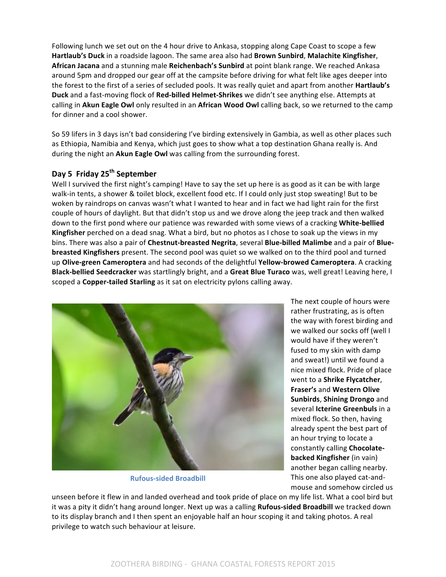Following lunch we set out on the 4 hour drive to Ankasa, stopping along Cape Coast to scope a few Hartlaub's Duck in a roadside lagoon. The same area also had Brown Sunbird, Malachite Kingfisher, African Jacana and a stunning male Reichenbach's Sunbird at point blank range. We reached Ankasa around 5pm and dropped our gear off at the campsite before driving for what felt like ages deeper into the forest to the first of a series of secluded pools. It was really quiet and apart from another **Hartlaub's** Duck and a fast-moving flock of Red-billed Helmet-Shrikes we didn't see anything else. Attempts at calling in Akun Eagle Owl only resulted in an African Wood Owl calling back, so we returned to the camp for dinner and a cool shower.

So 59 lifers in 3 days isn't bad considering I've birding extensively in Gambia, as well as other places such as Ethiopia, Namibia and Kenya, which just goes to show what a top destination Ghana really is. And during the night an **Akun Eagle Owl** was calling from the surrounding forest.

# **Day%5%%Friday%25th September**

Well I survived the first night's camping! Have to say the set up here is as good as it can be with large walk-in tents, a shower & toilet block, excellent food etc. If I could only just stop sweating! But to be woken by raindrops on canvas wasn't what I wanted to hear and in fact we had light rain for the first couple of hours of daylight. But that didn't stop us and we drove along the jeep track and then walked down to the first pond where our patience was rewarded with some views of a cracking White-bellied Kingfisher perched on a dead snag. What a bird, but no photos as I chose to soak up the views in my bins. There was also a pair of Chestnut-breasted Negrita, several Blue-billed Malimbe and a pair of Blue**breasted Kingfishers** present. The second pool was quiet so we walked on to the third pool and turned up **Olive-green Cameroptera** and had seconds of the delightful **Yellow-browed Cameroptera**. A cracking **Black-bellied Seedcracker** was startlingly bright, and a Great Blue Turaco was, well great! Leaving here, I scoped a **Copper-tailed Starling** as it sat on electricity pylons calling away.



**Rufous-sided Broadbill** 

The next couple of hours were rather frustrating, as is often the way with forest birding and we walked our socks off (well I would have if they weren't fused to my skin with damp and sweat!) until we found a nice mixed flock. Pride of place went to a **Shrike Flycatcher**, **Fraser's** and'**Western Olive% Sunbirds, Shining Drongo** and several **Icterine Greenbuls** in a mixed flock. So then, having already spent the best part of an hour trying to locate a constantly calling **Chocolatebacked Kingfisher** (in vain) another began calling nearby. This one also played cat-andmouse and somehow circled us

unseen before it flew in and landed overhead and took pride of place on my life list. What a cool bird but it was a pity it didn't hang around longer. Next up was a calling **Rufous-sided Broadbill** we tracked down to its display branch and I then spent an enjoyable half an hour scoping it and taking photos. A real privilege to watch such behaviour at leisure.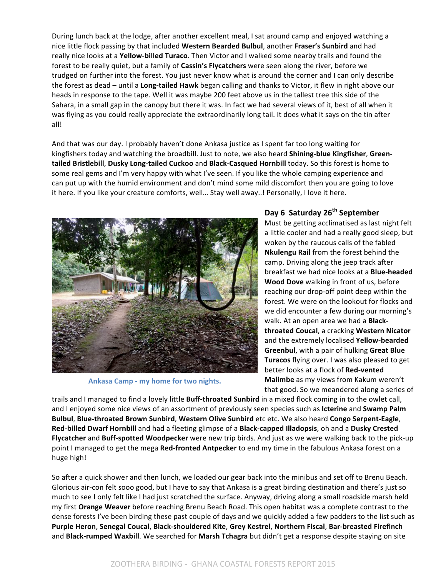During lunch back at the lodge, after another excellent meal, I sat around camp and enjoyed watching a nice little flock passing by that included Western Bearded Bulbul, another Fraser's Sunbird and had really nice looks at a Yellow-billed Turaco. Then Victor and I walked some nearby trails and found the forest to be really quiet, but a family of Cassin's Flycatchers were seen along the river, before we trudged on further into the forest. You just never know what is around the corner and I can only describe the forest as dead – until a Long-tailed Hawk began calling and thanks to Victor, it flew in right above our heads in response to the tape. Well it was maybe 200 feet above us in the tallest tree this side of the Sahara, in a small gap in the canopy but there it was. In fact we had several views of it, best of all when it was flying as you could really appreciate the extraordinarily long tail. It does what it says on the tin after all!'

And that was our day. I probably haven't done Ankasa justice as I spent far too long waiting for kingfishers today and watching the broadbill. Just to note, we also heard **Shining-blue Kingfisher, Green**tailed Bristlebill, Dusky Long-tailed Cuckoo and Black-Casqued Hornbill today. So this forest is home to some real gems and I'm very happy with what I've seen. If you like the whole camping experience and can put up with the humid environment and don't mind some mild discomfort then you are going to love it here. If you like your creature comforts, well... Stay well away..! Personally, I love it here.



**Ankasa Camp - my home for two nights.** 

# **Day%6%%Saturday%26th September %%**

Must be getting acclimatised as last night felt a little cooler and had a really good sleep, but woken by the raucous calls of the fabled **Nkulengu Rail** from the forest behind the camp. Driving along the jeep track after breakfast we had nice looks at a **Blue-headed Wood Dove** walking in front of us, before reaching our drop-off point deep within the forest. We were on the lookout for flocks and we did encounter a few during our morning's walk. At an open area we had a **Blackthroated Coucal, a cracking Western Nicator** and the extremely localised Yellow-bearded **Greenbul**, with a pair of hulking Great Blue Turacos flying over. I was also pleased to get better looks at a flock of **Red-vented Malimbe** as my views from Kakum weren't that good. So we meandered along a series of

trails and I managed to find a lovely little **Buff-throated Sunbird** in a mixed flock coming in to the owlet call, and I enjoyed some nice views of an assortment of previously seen species such as **Icterine** and **Swamp Palm Bulbul, Blue-throated Brown Sunbird, Western Olive Sunbird** etc etc. We also heard Congo Serpent-Eagle, Red-billed Dwarf Hornbill and had a fleeting glimpse of a Black-capped Illadopsis, oh and a Dusky Crested **Flycatcher** and **Buff-spotted Woodpecker** were new trip birds. And just as we were walking back to the pick-up point I managed to get the mega Red-fronted Antpecker to end my time in the fabulous Ankasa forest on a huge high!

So after a quick shower and then lunch, we loaded our gear back into the minibus and set off to Brenu Beach. Glorious air-con felt sooo good, but I have to say that Ankasa is a great birding destination and there's just so much to see I only felt like I had just scratched the surface. Anyway, driving along a small roadside marsh held my first Orange Weaver before reaching Brenu Beach Road. This open habitat was a complete contrast to the dense forests I've been birding these past couple of days and we quickly added a few padders to the list such as **Purple%Heron**,'**Senegal%Coucal**,'**Black3shouldered%Kite**,'**Grey%Kestrel**,'**Northern%Fiscal**,'**Bar3breasted%Firefinch** and Black-rumped Waxbill. We searched for Marsh Tchagra but didn't get a response despite staying on site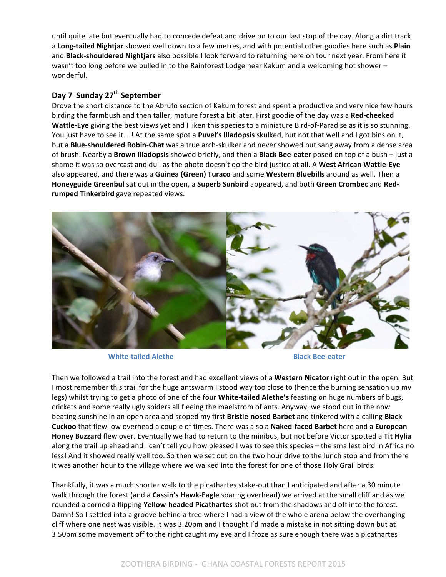until quite late but eventually had to concede defeat and drive on to our last stop of the day. Along a dirt track a Long-tailed Nightjar showed well down to a few metres, and with potential other goodies here such as Plain and **Black-shouldered Nightjars** also possible I look forward to returning here on tour next year. From here it wasn't too long before we pulled in to the Rainforest Lodge near Kakum and a welcoming hot shower – wonderful.

# **Day%7%%Sunday%27th September**

Drove the short distance to the Abrufo section of Kakum forest and spent a productive and very nice few hours' birding the farmbush and then taller, mature forest a bit later. First goodie of the day was a Red-cheeked Wattle-Eye giving the best views yet and I liken this species to a miniature Bird-of-Paradise as it is so stunning. You just have to see it....! At the same spot a Puvel's Illadopsis skulked, but not that well and I got bins on it, but a **Blue-shouldered Robin-Chat** was a true arch-skulker and never showed but sang away from a dense area' of brush. Nearby a **Brown Illadopsis** showed briefly, and then a **Black Bee-eater** posed on top of a bush – just a shame it was so overcast and dull as the photo doesn't do the bird justice at all. A West African Wattle-Eye also appeared, and there was a **Guinea (Green) Turaco** and some Western Bluebills around as well. Then a Honeyguide Greenbul sat out in the open, a Superb Sunbird appeared, and both Green Crombec and Redrumped Tinkerbird gave repeated views.



**%%%%%%%%%%%%%%%%%%%%%%%%%%%%%%%%%%%%%%White3tailed%Alethe%%%%%%%%%%%%%%%%%%%%%%%%%%%%%%%%%%%%%%%%%%%%%%%%%%%%%%%%%%%%%%%%%%Black%Bee3eater**

Then we followed a trail into the forest and had excellent views of a Western Nicator right out in the open. But I'most remember this trail for the huge antswarm I stood way too close to (hence the burning sensation up my legs) whilst trying to get a photo of one of the four White-tailed Alethe's feasting on huge numbers of bugs, crickets and some really ugly spiders all fleeing the maelstrom of ants. Anyway, we stood out in the now beating sunshine in an open area and scoped my first Bristle-nosed Barbet and tinkered with a calling Black **Cuckoo** that flew low overhead a couple of times. There was also a **Naked-faced Barbet** here and a **European** Honey Buzzard flew over. Eventually we had to return to the minibus, but not before Victor spotted a Tit Hylia along the trail up ahead and I can't tell you how pleased I was to see this species – the smallest bird in Africa no less! And it showed really well too. So then we set out on the two hour drive to the lunch stop and from there it was another hour to the village where we walked into the forest for one of those Holy Grail birds.

Thankfully, it was a much shorter walk to the picathartes stake-out than I anticipated and after a 30 minute walk through the forest (and a **Cassin's Hawk-Eagle** soaring overhead) we arrived at the small cliff and as we rounded a corned a flipping Yellow-headed Picathartes shot out from the shadows and off into the forest. Damn! So I settled into a groove behind a tree where I had a view of the whole arena below the overhanging cliff where one nest was visible. It was 3.20pm and I thought I'd made a mistake in not sitting down but at 3.50pm some movement off to the right caught my eye and I froze as sure enough there was a picathartes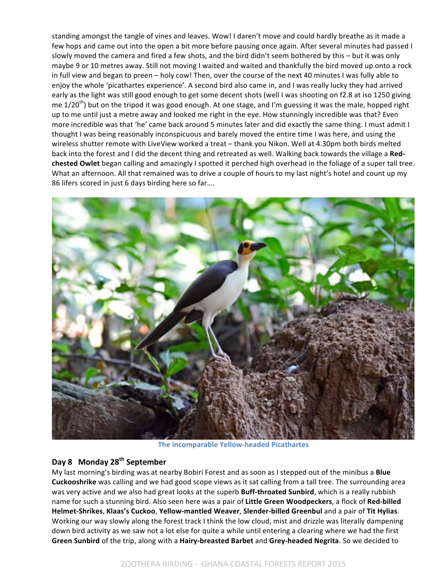standing amongst the tangle of vines and leaves. Wow! I daren't move and could hardly breathe as it made a few hops and came out into the open a bit more before pausing once again. After several minutes had passed I slowly moved the camera and fired a few shots, and the bird didn't seem bothered by this – but it was only maybe 9 or 10 metres away. Still not moving I waited and waited and thankfully the bird moved up onto a rock in full view and began to preen - holy cow! Then, over the course of the next 40 minutes I was fully able to enjoy the whole 'picathartes experience'. A second bird also came in, and I was really lucky they had arrived early as the light was still good enough to get some decent shots (well I was shooting on f2.8 at iso 1250 giving me  $1/20^{th}$ ) but on the tripod it was good enough. At one stage, and I'm guessing it was the male, hopped right up to me until just a metre away and looked me right in the eye. How stunningly incredible was that? Even more incredible was that 'he' came back around 5 minutes later and did exactly the same thing. I must admit I thought I was being reasonably inconspicuous and barely moved the entire time I was here, and using the wireless shutter remote with LiveView worked a treat - thank you Nikon. Well at 4.30pm both birds melted back into the forest and I did the decent thing and retreated as well. Walking back towards the village a Redchested Owlet began calling and amazingly I spotted it perched high overhead in the foliage of a super tall tree. What an afternoon. All that remained was to drive a couple of hours to my last night's hotel and count up my 86 lifers scored in just 6 days birding here so far....



**The incomparable Yellow-headed Picathartes** 

# **Day%8%%%Monday%28th September**

My last morning's birding was at nearby Bobiri Forest and as soon as I stepped out of the minibus a **Blue Cuckooshrike** was calling and we had good scope views as it sat calling from a tall tree. The surrounding area was very active and we also had great looks at the superb Buff-throated Sunbird, which is a really rubbish name for such a stunning bird. Also seen here was a pair of Little Green Woodpeckers, a flock of Red-billed Helmet-Shrikes, Klaas's Cuckoo, Yellow-mantled Weaver, Slender-billed Greenbul and a pair of Tit Hylias. Working our way slowly along the forest track I think the low cloud, mist and drizzle was literally dampening down bird activity as we saw not a lot else for quite a while until entering a clearing where we had the first **Green Sunbird** of the trip, along with a Hairy-breasted Barbet and Grey-headed Negrita. So we decided to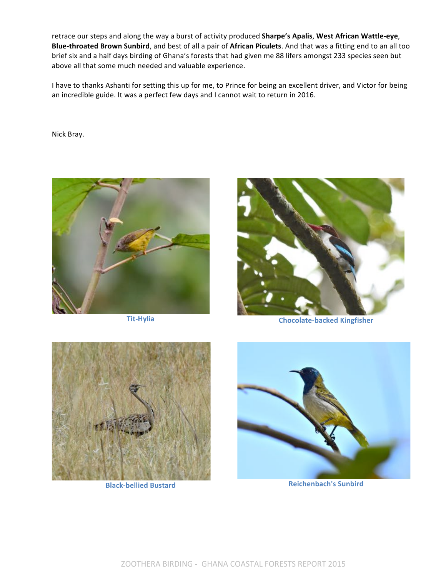retrace our steps and along the way a burst of activity produced Sharpe's Apalis, West African Wattle-eye, Blue-throated Brown Sunbird, and best of all a pair of African Piculets. And that was a fitting end to an all too brief six and a half days birding of Ghana's forests that had given me 88 lifers amongst 233 species seen but above all that some much needed and valuable experience.

I have to thanks Ashanti for setting this up for me, to Prince for being an excellent driver, and Victor for being an incredible guide. It was a perfect few days and I cannot wait to return in 2016.

Nick Bray.





**Tit-Hylia Chocolate-backed Kingfisher** 





**Black-bellied Bustard Reichenbach's Sunbird**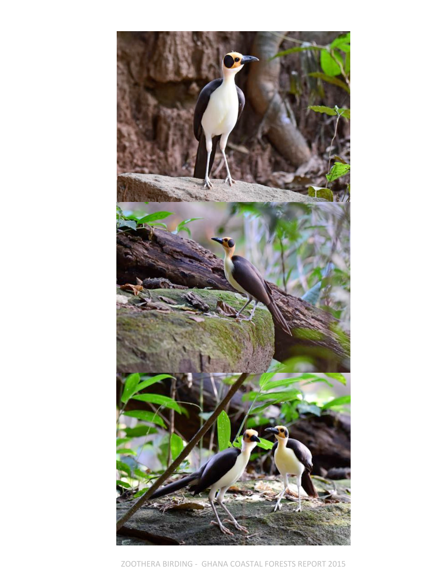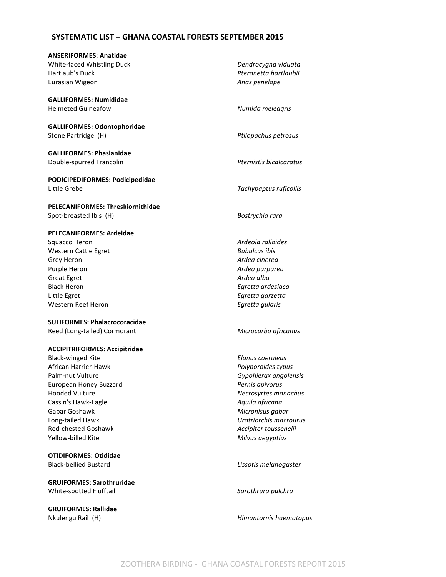# **SYSTEMATIC%LIST%– GHANA%COASTAL%FORESTS SEPTEMBER%2015**

| <b>ANSERIFORMES: Anatidae</b><br>White-faced Whistling Duck<br>Hartlaub's Duck | Dendrocygna viduata<br>Pteronetta hartlaubii |
|--------------------------------------------------------------------------------|----------------------------------------------|
| Eurasian Wigeon                                                                | Anas penelope                                |
| <b>GALLIFORMES: Numididae</b><br><b>Helmeted Guineafowl</b>                    | Numida meleagris                             |
| <b>GALLIFORMES: Odontophoridae</b>                                             |                                              |
| Stone Partridge (H)                                                            | Ptilopachus petrosus                         |
| <b>GALLIFORMES: Phasianidae</b>                                                |                                              |
| Double-spurred Francolin                                                       | Pternistis bicalcaratus                      |
| PODICIPEDIFORMES: Podicipedidae                                                |                                              |
| Little Grebe                                                                   | Tachybaptus ruficollis                       |
| PELECANIFORMES: Threskiornithidae                                              |                                              |
| Spot-breasted Ibis (H)                                                         | Bostrychia rara                              |
| <b>PELECANIFORMES: Ardeidae</b>                                                |                                              |
| Squacco Heron                                                                  | Ardeola ralloides                            |
| Western Cattle Egret                                                           | <b>Bubulcus ibis</b>                         |
| Grey Heron                                                                     | Ardea cinerea                                |
| Purple Heron                                                                   | Ardea purpurea                               |
| <b>Great Egret</b>                                                             | Ardea alba                                   |
| <b>Black Heron</b>                                                             | Egretta ardesiaca                            |
| Little Egret                                                                   | Egretta garzetta                             |
| Western Reef Heron                                                             | Egretta gularis                              |
| <b>SULIFORMES: Phalacrocoracidae</b>                                           |                                              |
| Reed (Long-tailed) Cormorant                                                   | Microcarbo africanus                         |
| <b>ACCIPITRIFORMES: Accipitridae</b>                                           |                                              |
| <b>Black-winged Kite</b>                                                       | Elanus caeruleus                             |
| African Harrier-Hawk                                                           | Polyboroides typus                           |
| Palm-nut Vulture                                                               | Gypohierax angolensis                        |
| European Honey Buzzard                                                         | Pernis apivorus                              |
| <b>Hooded Vulture</b>                                                          | Necrosyrtes monachus                         |
| Cassin's Hawk-Eagle<br>Gabar Goshawk                                           | Aquila africana<br>Micronisus gabar          |
| Long-tailed Hawk                                                               | Urotriorchis macrourus                       |
| Red-chested Goshawk                                                            | Accipiter toussenelii                        |
| Yellow-billed Kite                                                             | Milvus aegyptius                             |
| <b>OTIDIFORMES: Otididae</b>                                                   |                                              |
| <b>Black-bellied Bustard</b>                                                   | Lissotis melanogaster                        |
| <b>GRUIFORMES: Sarothruridae</b>                                               |                                              |
| White-spotted Flufftail                                                        | Sarothrura pulchra                           |
| <b>GRUIFORMES: Rallidae</b>                                                    |                                              |

Nkulengu Rail (H) **Himantornis** haematopus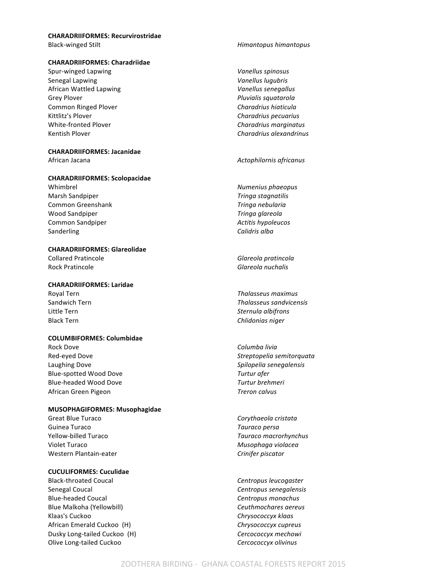## **CHARADRIIFORMES:%Recurvirostridae**

### **CHARADRIIFORMES:%Charadriidae**

Spur-winged Lapwing **Vanellus** spinosus **Vanellus** spinosus Senegal Lapwing **Vanellus** Lapwing **Vanellus** Lapwing **Vanellus** Lugubris African Wattled Lapwing **Vanellus** senegallus **Vanellus** senegallus Grey Plover *Pluvialis squatarola* Common Ringed Plover **Charadrius Charadrius** *Charadrius hiaticula* Kittlitz's'Plover *Charadrius+pecuarius* White-fronted Plover **Charadrius** marginatus **Charadrius** marginatus Kentish'Plover *Charadrius+alexandrinus*

### **CHARADRIIFORMES:%Jacanidae**

## **CHARADRIIFORMES: Scolopacidae**

Whimbrel *Numenius+phaeopus* Marsh Sandpiper **Marsh Sandpiper** *Tringa stagnatilis* Common Greenshank **Tringa** nebularia Wood Sandpiper *Tringa glareola* **Common Sandpiper** *Actitishypoleucos Actitis hypoleucos* Sanderling **Calidris** alba

# **CHARADRIIFORMES:%Glareolidae**

Collared'Pratincole *Glareola+pratincola* Rock'Pratincole *Glareola+nuchalis*

## **CHARADRIIFORMES:%Laridae**

# **COLUMBIFORMES:%Columbidae**

Rock Dove **Columba** livia Red-eyed Dove *Streptopelia semitorquata* Laughing Dove *Spilopelia senegalensis* Spilopelia senegalensis Blue-spotted Wood Dove **Turtur** afer Blue-headed Wood Dove *Turtur brehmeri* African Green Pigeon *Treron calvus* 

# **MUSOPHAGIFORMES: Musophagidae**

Great Blue Turaco **Computer Contract Constanting Constanting Corythaeola cristata** Guinea'Turaco *Tauraco+persa* YellowDbilled'Turaco *Tauraco+macrorhynchus* Violet'Turaco *Musophaga+violacea* Western Plantain-eater **CRINICAL EXECUTE:** *Crinifer piscator Crinifer piscator* 

# **CUCULIFORMES: Cuculidae**

Black-throated Coucal **Centropus** *Centropus leucogaster* Senegal'Coucal *Centropus+senegalensis* Blue-headed Coucal **Centropus** *Centropus monachus* Blue Malkoha (Yellowbill) *Ceuthmochares aereus Ceuthmochares aereus* Klaas's Cuckoo **Chrysococcyx** klaas African Emerald Cuckoo (H) **Chrysococcyx** cupreus Dusky Long-tailed Cuckoo (H) **CERCOCOCCYX** *Cercococcyx mechowi* Olive Long-tailed Cuckoo **Cercococcyx** olivinus Cercococcyx olivinus

### Black-winged Stilt **Himantopus** *Himantopus himantopus*

## African Jacana *Actophilornis africanus Actophilornis africanus*

Royal'Tern *Thalasseus+maximus* Sandwich'Tern *Thalasseus+sandvicensis* Little'Tern *Sternula+albifrons* Black Tern **Chlidonias** niger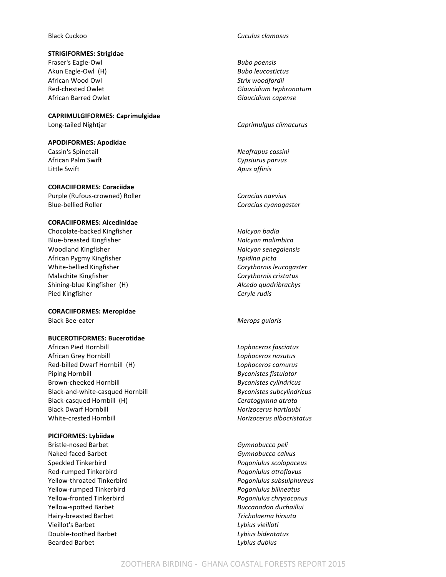### **STRIGIFORMES: Strigidae**

Fraser's Eagle-Owl **Bubot Account Fraser's** Eagle-Owl Akun Eagle-Owl (H) **Bubo** *Bubo leucostictus Bubo leucostictus* African Wood Owl **Strix** Woodfordii **Strix** Woodfordii African'Barred'Owlet *Glaucidium+capense*

**CAPRIMULGIFORMES:%Caprimulgidae** Long-tailed Nightjar **Caprimulgus** climacurus **Caprimulgus** climacurus

**APODIFORMES: Apodidae** 

African Palm Swift **Cypsiurus** *Cypsiurus parvus* Little Swift **Apus** affinis

### **CORACIIFORMES:%Coraciidae**

Purple (Rufous-crowned) Roller *Coracias naevius* Blue-bellied Roller *Coracias cyanogaster* 

## **CORACIIFORMES:%Alcedinidae**

Chocolate-backed Kingfisher **Halcyon** badia Blue-breasted Kingfisher **Halcyon** malimbica Woodland'Kingfisher *Halcyon+senegalensis* African Pygmy Kingfisher **Ispidina** picta White-bellied Kingfisher **Constanting Constanting Constanting Constanting Constanting Constanting Constanting Constanting Constanting Constanting Constanting Constanting Constanting Constanting Constanting Constanting Cons** Malachite Kingfisher **Communistation** Corythornis cristatus Shining-blue Kingfisher (H) **Alcedo** quadribrachys Pied Kingfisher **Ceryle** rudis

### **CORACIIFORMES: Meropidae**

Black Bee-eater **Merops** gularis

## **BUCEROTIFORMES: Bucerotidae**

African Pied Hornbill **African's** Lophoceros fasciatus African Grey Hornbill *Lophoceros nasutus* Red-billed Dwarf Hornbill (H) *Lophoceros camurus* Piping Hornbill *Bycanistes fistulator* Brown-cheeked Hornbill *Bycanistes cylindricus Bycanistes cylindricus* Black-and-white-casqued Hornbill *Bycanistes subcylindricus* Black-casqued Hornbill (H) **Ceratogymna** atrata Black Dwarf Hornbill **Motion Communist Communist Provision Communist Communist Provision Communist Provision Communist Provision Communist Provision Communist Provision Communist Provision Communist Provision Communist Pro** White-crested Hornbill *Morizocerus albocristatus Horizocerus albocristatus* 

### **PICIFORMES: Lybiidae**

Bristle-nosed Barbet **Gymnobucco** peli Naked-faced Barbet **Gymnobucco** calvus Speckled'Tinkerbird *Pogoniulus+scolopaceus* Red-rumped Tinkerbird *Pogoniulus atroflavus* YellowDthroated'Tinkerbird *Pogoniulus+subsulphureus* Yellow-rumped Tinkerbird *Pogoniulus bilineatus* YellowDfronted'Tinkerbird *Pogoniulus+chrysoconus* YellowDspotted'Barbet *Buccanodon+duchaillui* Hairy-breasted Barbet **Tricholaema** hirsuta Vieillot's Barbet *Lybius vieilloti* Double-toothed Barbet *Lybius bidentatus* Bearded Barbet *Lybius dubius* 

### Black Cuckoo **Cuculus** Cuculus Cuculus clamosus

Red-chested Owlet **Glaucidium** tephronotum

Cassin's Spinetail *Neafrapus cassini*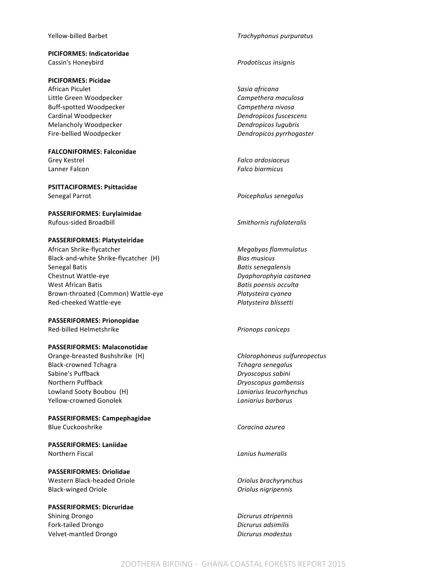## **PICIFORMES: Indicatoridae** Cassin's Honeybird *Prodotiscus insignis*

### **PICIFORMES: Picidae**

African Piculet **African** Piculet **Sasia africana** Little Green Woodpecker **Campethera maculosa** Campethera maculosa Buff-spotted Woodpecker **Campethera** nivosa Cardinal'Woodpecker *Dendropicos+fuscescens* Melancholy'Woodpecker *Dendropicos+lugubris* Fire-bellied Woodpecker *Dendropicos pyrrhogaster* 

## **FALCONIFORMES: Falconidae** Grey Kestrel **Falco** ardosiaceus

**PSITTACIFORMES: Psittacidae** Senegal Parrot *Poicephalus senegalus* 

### **PASSERIFORMES: Eurylaimidae** Rufous-sided Broadbill **No. 2018** Smithornis rufolateralis

# **PASSERIFORMES:%Platysteiridae**

African Shrike-flycatcher *Megabyas flammulatus Megabyas flammulatus* Black-and-white Shrike-flycatcher (H) *Bias musicus* Senegal'Batis *Batis+senegalensis* Chestnut Wattle-eye *Dyaphorophyia castanea* West African Batis **Batis Batis** *Batis poensis occulta* Brown-throated (Common) Wattle-eye *Platysteira cyanea* Red-cheeked Wattle-eye *Platysteira blissetti* 

# **PASSERIFORMES: Prionopidae**

Red-billed Helmetshrike *Prionops caniceps* 

# **PASSERIFORMES: Malaconotidae**

Orange-breasted Bushshrike (H) **Chlorophoneus sulfureopectus** Black-crowned Tchagra **Mateuralism and Tchagra** *Tchagra senegalus* Sabine's Puffback **Dryoscopus** sabini Northern'Puffback *Dryoscopus+gambensis* Lowland Sooty Boubou (H) **Laniarius** Laniarius *Laniarius Ieucorhynchus* YellowDcrowned'Gonolek *Laniarius+barbarus*

# **PASSERIFORMES: Campephagidae**

Blue Cuckooshrike *Coracina azurea Coracina azurea* 

**PASSERIFORMES:%Laniidae** Northern Fiscal *Lanius humeralis Lanius humeralis* 

# **PASSERIFORMES:%Oriolidae**

Western Black-headed Oriole *Oriolus brachyrynchus* Black-winged Oriole *Oriolus nigripennis* 

# **PASSERIFORMES:%Dicruridae** Shining Drongo *Dicrurus atripennis* Fork-tailed Drongo *Dicrurus adsimilis*

Velvet-mantled Drongo **Dices and Allen Control** Dicrurus modestus

## Yellow-billed Barbet **Trachyphonus** purpuratus **Trachyphonus** purpuratus

Lanner'Falcon *Falco+biarmicus*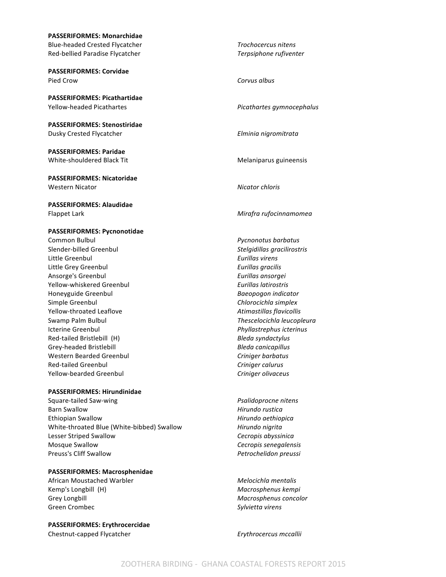**PASSERIFORMES: Monarchidae** Blue-headed Crested Flycatcher **Trochocercus** nitens Red-bellied Paradise Flycatcher **Terpsiphone** rufiventer **PASSERIFORMES: Corvidae** Pied Crow **Corvus** albus **PASSERIFORMES: Picathartidae** Yellow-headed Picathartes *Picathartes <i>Picathartes gymnocephalus Picathartes gymnocephalus* **PASSERIFORMES: Stenostiridae** Dusky'Crested'Flycatcher *Elminia+nigromitrata* **PASSERIFORMES: Paridae** White-shouldered Black Tit Melaniparus guineensis **PASSERIFORMES: Nicatoridae** Western Nicator **Nicator Nicator Nicator Nicator Nicator Nicator Nicator Nicator Nicator Nicator Nicator Nicator Nicator Nicator Nicator Nicator Nicator Nicator Nicator Nicator Nicat PASSERIFORMES: Alaudidae** Flappet'Lark *Mirafra+rufocinnamomea* **PASSERIFORMES: Pycnonotidae** 

**Common Bulbul** *Pycnonotus barbatus* Slender-billed Greenbul *Stelgidillas gracilirostris* Little'Greenbul *Eurillas+virens* Little'Grey'Greenbul *Eurillas+gracilis* Ansorge's Greenbul *Eurillas ansorgei* YellowDwhiskered'Greenbul *Eurillas+latirostris* Honeyguide'Greenbul *Baeopogon+indicator* Simple Greenbul **Challet Challet Christian Chlorocichla** simplex YellowDthroated'Leaflove *Atimastillas+flavicollis* Swamp Palm Bulbul *Thescelocichla leucopleura* Icterine Greenbul *Phyllastrephus icterinus* Red-tailed Bristlebill (H) **Bleda** syndactylus **Bleda** syndactylus Grey-headed Bristlebill **Bleeding Controller and Controller** Bleda canicapillus Western Bearded Greenbul *Criniger barbatus* Red-tailed Greenbul *Criniger calurus* Yellow-bearded Greenbul *Criniger olivaceus* Criniger olivaceus

# **PASSERIFORMES:%Hirundinidae**

Square-tailed Saw-wing *Psalidoprocne nitens* Barn Swallow *Hirundo rustica Hirundo rustica* Ethiopian Swallow **Hirundo** aethiopica White-throated Blue (White-bibbed) Swallow **Hirundo** nigrita Lesser Striped Swallow *Cecropis abyssinica* Mosque Swallow **Mosque Swallow Cecropis** senegalensis Preuss's'Cliff'Swallow *Petrochelidon+preussi*

### **PASSERIFORMES: Macrosphenidae**

African'Moustached'Warbler *Melocichla+mentalis* Kemp's'Longbill''(H) *Macrosphenus kempi* Grey Longbill **Macrosphenus** concolor Green Crombec *Sylvietta virens* 

**PASSERIFORMES: Erythrocercidae** Chestnut-capped Flycatcher **Example 2018** Erythrocercus mccallii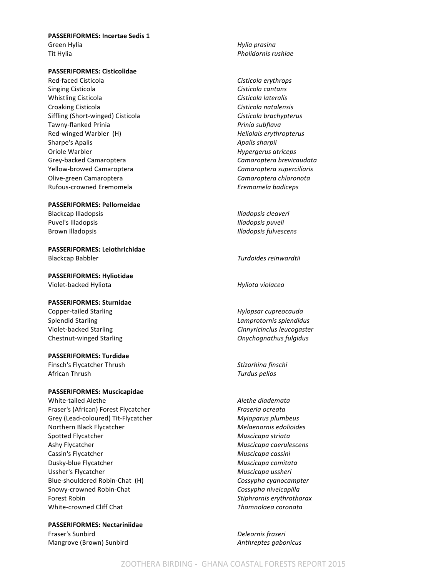### **PASSERIFORMES: Incertae Sedis 1**

### **PASSERIFORMES: Cisticolidae**

Red-faced Cisticola **Cisticola Cisticola Cisticola Cisticola Cisticola Cisticola** Singing'Cisticola *Cisticola+cantans* Whistling Cisticola **Cisticola Cisticola Cisticola** *Cisticola lateralis* Croaking'Cisticola *Cisticola+natalensis* Siffling (Short-winged) Cisticola *Cisticola Cisticola Cisticola brachypterus* Tawny-flanked Prinia **Princess Princess** *Prinia subflava* Red-winged Warbler (H) **Heliolais** erythropterus Sharpe's Apalis **Apalis Apalis Apalis Apalis** sharpii Oriole'Warbler *Hypergerus+atriceps* Grey-backed Camaroptera **Camaroptera Camaroptera** *Camaroptera brevicaudata* Yellow-browed Camaroptera **Camaroptera** *Camaroptera superciliaris* Olive-green Camaroptera **Camaroptera** *Camaroptera chloronota* Rufous-crowned Eremomela **Eremomela Exemple 2** Eremomela badiceps

### **PASSERIFORMES:%Pellorneidae**

Blackcap Illadopsis *Illadopsis Illadopsis Illadopsis Cleaveri* Puvel's'Illadopsis *Illadopsis+puveli*

**PASSERIFORMES:%Leiothrichidae** Blackcap Babbler *Turdoides reinwardtii* 

**PASSERIFORMES: Hyliotidae** Violet-backed Hyliota **Microsoft Contract Accord** *Hyliota violacea* 

**PASSERIFORMES: Sturnidae Copper-tailed Starling**  The Copper-cupre occupred a New York *Hylopsar cupreocauda* Splendid'Starling *Lamprotornis+splendidus* Violet-backed Starling **Cinnyricinclus** *Cinnyricinclus leucogaster* Chestnut-winged Starling **Chestnut-winged** Starling *Onychognathus fulgidus* 

# **PASSERIFORMES:%Turdidae**

Finsch's'Flycatcher Thrush *Stizorhina+finschi* African'Thrush *Turdus+pelios*

### **PASSERIFORMES: Muscicapidae**

White-tailed Alethe<br>
Alethe diademata Fraser's (African) Forest Flycatcher *Fraseria ocreata Fraseria ocreata* Grey (Lead-coloured) Tit-Flycatcher *Myioparus plumbeus Myioparus plumbeus* Northern'Black'Flycatcher *Melaenornis+edolioides* Spotted Flycatcher **Muscicapa** striata Ashy'Flycatcher *Muscicapa+caerulescens* Cassin's'Flycatcher *Muscicapa+cassini* Dusky-blue Flycatcher **Muscicapa** comitata **Muscicapa** comitata Ussher's Flycatcher **Muscicapa** ussheri Blue-shouldered Robin-Chat (H) **Cossypha-cyanocampter Cossypha-cyanocampter** Snowy-crowned Robin-Chat **Cossyphaniveicapilla** Forest'Robin *Stiphrornis+erythrothorax* White-crowned Cliff Chat *Thamnolaea coronata* 

**PASSERIFORMES: Nectariniidae** Fraser's'Sunbird *Deleornis+fraseri* Mangrove'(Brown)'Sunbird *Anthreptes+gabonicus*

Green Hylia **Andrew Aylia Hylia** *Hylia prasina* Tit'Hylia *Pholidornis+rushiae*

Brown Illadopsis **Illadopsis** *Illadopsis fulvescens*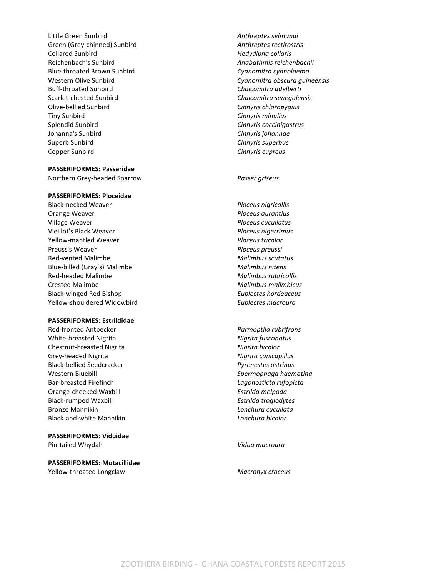Little Green Sunbird **Anthreptes** seimundi Green (Grey-chinned) Sunbird *Anthreptes rectirostris Anthreptes rectirostris* Collared'Sunbird *Hedydipna+collaris* Reichenbach's'Sunbird *Anabathmis+reichenbachii* Blue-throated Brown Sunbird **Cyanomitra** cyanolaema Western'Olive'Sunbird *Cyanomitra+obscura+guineensis* Buff-throated Sunbird **Chalcomitra adelberti** Scarlet-chested Sunbird **Chalcomitra** senegalensis Olive-bellied Sunbird **Cinnyris** chloropygius **Cinnyris** Tiny Sunbird **Cinnyris** minullus Splendid'Sunbird *Cinnyris+coccinigastrus* Johanna's'Sunbird *Cinnyris+johannae* Superb Sunbird **Cinnyris** superbus **Cinnyris** superbus Copper Sunbird **Copper's** Copper Sunbird **Copper** Sunbird **Copper** Sundament Copper Sundament Copper Sundament Copper Sundament Copper Sundament Copper Sundament Copper Sundament Copper Sundament Copper Sundament Copper Su

## **PASSERIFORMES: Passeridae**

Northern Grey-headed Sparrow *Passer griseus* 

### **PASSERIFORMES: Ploceidae**

Black-necked Weaver *Ploceus nigricollis* Orange Weaver *Ploceus aurantius Ploceus aurantius* Village Weaver *Ploceus cucullatus* **Ploceus** cucullatus *Ploceus cucullatus* Vieillot's Black Weaver *Ploceus nigerrimus* YellowDmantled'Weaver *Ploceus+tricolor* Preuss's Weaver *Ploceus preussi* Red-vented Malimbe *Malimbus scutatus* Blue-billed (Gray's) Malimbe *Malimbus nitens* Red-headed Malimbe *Malimbus rubricollis* Crested'Malimbe *Malimbus+malimbicus* Black-winged Red Bishop *Euplectes hordeaceus* Yellow-shouldered Widowbird **Fundame Control Control** *Euplectes macroura* 

## **PASSERIFORMES: Estrildidae**

Red-fronted Antpecker *Parmoptila rubrifrons Parmoptila rubrifrons* White-breasted Nigrita **Nightland** *Nigrita Nigrita fusconotus* Chestnut-breasted Nigrita **Nigrita** *Nigrita bicolor* Grey-headed Nigrita *Nigrita* **Nigrita** *Nigrita canicapillus* Black-bellied Seedcracker *Pyrenestes ostrinus* Western Bluebill *Spermophaga+haematina* Bar-breasted Firefinch **Lagonosticta** rufopicta Orange-cheeked Waxbill **Extriculate Extriculate Act Contract Contract Contract Contract Contract Contract Contract Contract Contract Contract Contract Contract Contract Contract Contract Contract Contract Contract Contract** Black-rumped Waxbill **Estributed** Contains a set of the estribution of the estribution of the estribution of the estribution of the estimate of the estimate of the estimate of the estimate of the estimate of the estimate o Bronze Mannikin *Bronze's Mannikin* **Lonchura** cucullata Black-and-white Mannikin **and During the Contrator** *Lonchura bicolor* 

**PASSERIFORMES: Viduidae** Pin-tailed Whydah **Vidua** macroura

**PASSERIFORMES:%Motacillidae**

Yellow-throated Longclaw *Macronyx croceus*